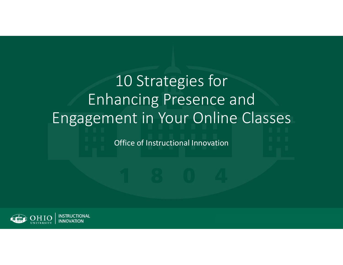# 10 Strategies for Enhancing Presence and Engagement in Your Online Classes

Office of Instructional Innovation

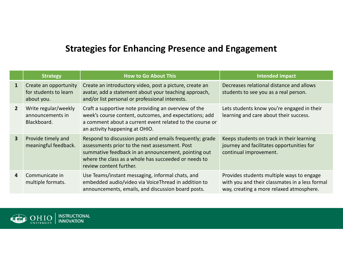# **Strategies for Enhancing Presence and Engagement**

|                | <b>Strategy</b>                                              | <b>How to Go About This</b>                                                                                                                                                                                                                          | <b>Intended impact</b>                                                                                                                  |
|----------------|--------------------------------------------------------------|------------------------------------------------------------------------------------------------------------------------------------------------------------------------------------------------------------------------------------------------------|-----------------------------------------------------------------------------------------------------------------------------------------|
| $\mathbf{1}$   | Create an opportunity<br>for students to learn<br>about you. | Create an introductory video, post a picture, create an<br>avatar, add a statement about your teaching approach,<br>and/or list personal or professional interests.                                                                                  | Decreases relational distance and allows<br>students to see you as a real person.                                                       |
| $2^{\circ}$    | Write regular/weekly<br>announcements in<br>Blackboard.      | Craft a supportive note providing an overview of the<br>week's course content, outcomes, and expectations; add<br>a comment about a current event related to the course or<br>an activity happening at OHIO.                                         | Lets students know you're engaged in their<br>learning and care about their success.                                                    |
| 3 <sup>1</sup> | Provide timely and<br>meaningful feedback.                   | Respond to discussion posts and emails frequently; grade<br>assessments prior to the next assessment. Post<br>summative feedback in an announcement, pointing out<br>where the class as a whole has succeeded or needs to<br>review content further. | Keeps students on track in their learning<br>journey and facilitates opportunities for<br>continual improvement.                        |
| 4              | Communicate in<br>multiple formats.                          | Use Teams/instant messaging, informal chats, and<br>embedded audio/video via VoiceThread in addition to<br>announcements, emails, and discussion board posts.                                                                                        | Provides students multiple ways to engage<br>with you and their classmates in a less formal<br>way, creating a more relaxed atmosphere. |

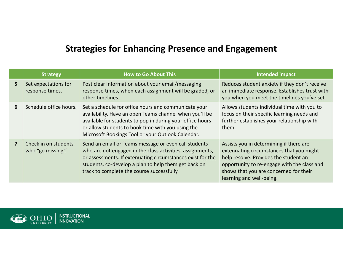# **Strategies for Enhancing Presence and Engagement**

|   | <b>Strategy</b>                           | <b>How to Go About This</b>                                                                                                                                                                                                                                                            | Intended impact                                                                                                                                                                                                                                   |
|---|-------------------------------------------|----------------------------------------------------------------------------------------------------------------------------------------------------------------------------------------------------------------------------------------------------------------------------------------|---------------------------------------------------------------------------------------------------------------------------------------------------------------------------------------------------------------------------------------------------|
| 5 | Set expectations for<br>response times.   | Post clear information about your email/messaging<br>response times, when each assignment will be graded, or<br>other timelines.                                                                                                                                                       | Reduces student anxiety if they don't receive<br>an immediate response. Establishes trust with<br>you when you meet the timelines you've set.                                                                                                     |
| 6 | Schedule office hours.                    | Set a schedule for office hours and communicate your<br>availability. Have an open Teams channel when you'll be<br>available for students to pop in during your office hours<br>or allow students to book time with you using the<br>Microsoft Bookings Tool or your Outlook Calendar. | Allows students individual time with you to<br>focus on their specific learning needs and<br>further establishes your relationship with<br>them.                                                                                                  |
|   | Check in on students<br>who "go missing." | Send an email or Teams message or even call students<br>who are not engaged in the class activities, assignments,<br>or assessments. If extenuating circumstances exist for the<br>students, co-develop a plan to help them get back on<br>track to complete the course successfully.  | Assists you in determining if there are<br>extenuating circumstances that you might<br>help resolve. Provides the student an<br>opportunity to re-engage with the class and<br>shows that you are concerned for their<br>learning and well-being. |

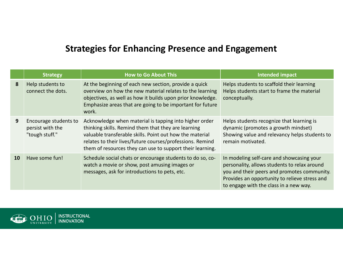# **Strategies for Enhancing Presence and Engagement**

|    | <b>Strategy</b>                                             | How to Go About This                                                                                                                                                                                                                                                                                | Intended impact                                                                                                                                                                                                                     |
|----|-------------------------------------------------------------|-----------------------------------------------------------------------------------------------------------------------------------------------------------------------------------------------------------------------------------------------------------------------------------------------------|-------------------------------------------------------------------------------------------------------------------------------------------------------------------------------------------------------------------------------------|
| 8  | Help students to<br>connect the dots.                       | At the beginning of each new section, provide a quick<br>overview on how the new material relates to the learning<br>objectives, as well as how it builds upon prior knowledge.<br>Emphasize areas that are going to be important for future<br>work.                                               | Helps students to scaffold their learning<br>Helps students start to frame the material<br>conceptually.                                                                                                                            |
| 9  | Encourage students to<br>persist with the<br>"tough stuff." | Acknowledge when material is tapping into higher order<br>thinking skills. Remind them that they are learning<br>valuable transferable skills. Point out how the material<br>relates to their lives/future courses/professions. Remind<br>them of resources they can use to support their learning. | Helps students recognize that learning is<br>dynamic (promotes a growth mindset)<br>Showing value and relevancy helps students to<br>remain motivated.                                                                              |
| 10 | Have some fun!                                              | Schedule social chats or encourage students to do so, co-<br>watch a movie or show, post amusing images or<br>messages, ask for introductions to pets, etc.                                                                                                                                         | In modeling self-care and showcasing your<br>personality, allows students to relax around<br>you and their peers and promotes community.<br>Provides an opportunity to relieve stress and<br>to engage with the class in a new way. |